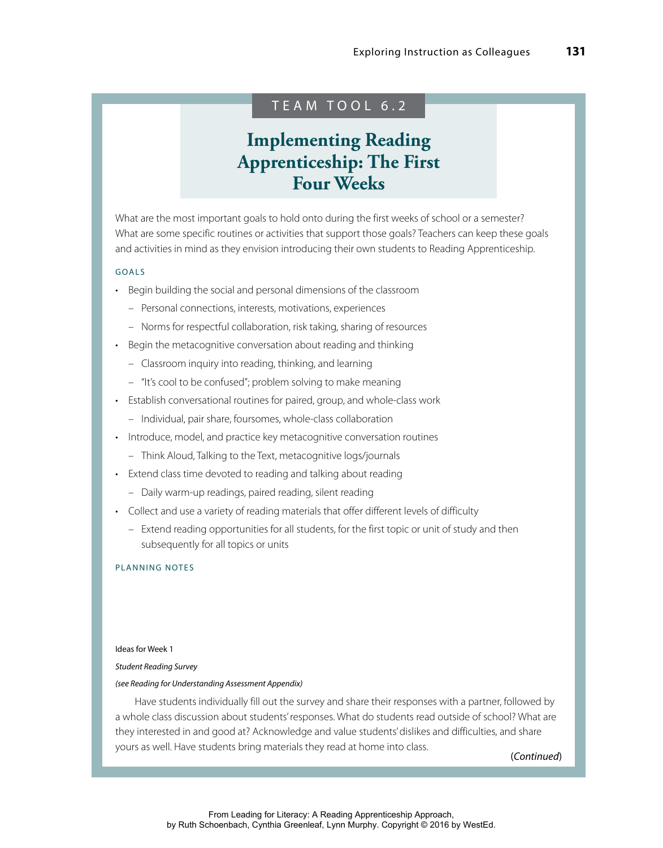# TEAM TOOL 6.2

# **Implementing Reading Apprenticeship: The First Four Weeks**

What are the most important goals to hold onto during the first weeks of school or a semester? What are some specific routines or activities that support those goals? Teachers can keep these goals and activities in mind as they envision introducing their own students to Reading Apprenticeship.

# GOALS

- Begin building the social and personal dimensions of the classroom
	- Personal connections, interests, motivations, experiences
	- Norms for respectful collaboration, risk taking, sharing of resources
- Begin the metacognitive conversation about reading and thinking
	- Classroom inquiry into reading, thinking, and learning
	- "It's cool to be confused"; problem solving to make meaning
- Establish conversational routines for paired, group, and whole-class work
	- Individual, pair share, foursomes, whole‐class collaboration
- Introduce, model, and practice key metacognitive conversation routines
	- Think Aloud, Talking to the Text, metacognitive logs/journals
- Extend class time devoted to reading and talking about reading
	- Daily warm‐up readings, paired reading, silent reading
- Collect and use a variety of reading materials that offer different levels of difficulty
	- Extend reading opportunities for all students, for the first topic or unit of study and then subsequently for all topics or units

# PLANNING NOTES

# Ideas for Week 1

#### *Student Reading Survey*

#### *(see Reading for Understanding Assessment Appendix)*

Have students individually fill out the survey and share their responses with a partner, followed by a whole class discussion about students' responses. What do students read outside of school? What are they interested in and good at? Acknowledge and value students' dislikes and difficulties, and share yours as well. Have students bring materials they read at home into class.

(*Continued*)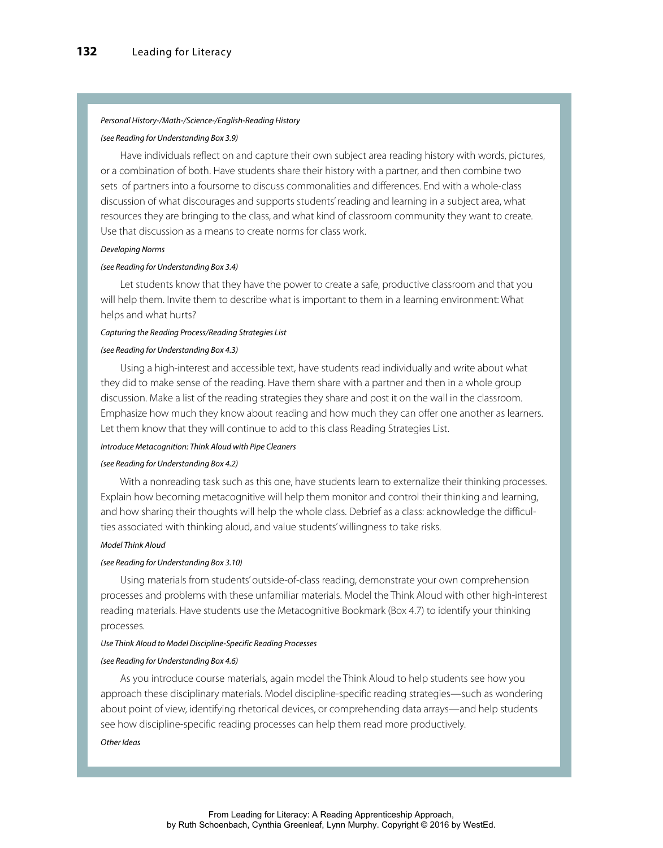#### *Personal History‐/Math‐/Science‐/English‐Reading History*

#### *(see Reading for Understanding Box 3.9)*

Have individuals reflect on and capture their own subject area reading history with words, pictures, or a combination of both. Have students share their history with a partner, and then combine two sets of partners into a foursome to discuss commonalities and differences. End with a whole-class discussion of what discourages and supports students' reading and learning in a subject area, what resources they are bringing to the class, and what kind of classroom community they want to create. Use that discussion as a means to create norms for class work.

# *Developing Norms*

# *(see Reading for Understanding Box 3.4)*

Let students know that they have the power to create a safe, productive classroom and that you will help them. Invite them to describe what is important to them in a learning environment: What helps and what hurts?

#### *Capturing the Reading Process/Reading Strategies List*

#### *(see Reading for Understanding Box 4.3)*

Using a high-interest and accessible text, have students read individually and write about what they did to make sense of the reading. Have them share with a partner and then in a whole group discussion. Make a list of the reading strategies they share and post it on the wall in the classroom. Emphasize how much they know about reading and how much they can offer one another as learners. Let them know that they will continue to add to this class Reading Strategies List.

#### *Introduce Metacognition: Think Aloud with Pipe Cleaners*

#### *(see Reading for Understanding Box 4.2)*

With a nonreading task such as this one, have students learn to externalize their thinking processes. Explain how becoming metacognitive will help them monitor and control their thinking and learning, and how sharing their thoughts will help the whole class. Debrief as a class: acknowledge the difficulties associated with thinking aloud, and value students' willingness to take risks.

#### *Model Think Aloud*

#### *(see Reading for Understanding Box 3.10)*

Using materials from students' outside‐of‐class reading, demonstrate your own comprehension processes and problems with these unfamiliar materials. Model the Think Aloud with other high‐interest reading materials. Have students use the Metacognitive Bookmark (Box 4.7) to identify your thinking processes.

#### *Use Think Aloud to Model Discipline‐Specific Reading Processes*

#### *(see Reading for Understanding Box 4.6)*

As you introduce course materials, again model the Think Aloud to help students see how you approach these disciplinary materials. Model discipline‐specific reading strategies—such as wondering about point of view, identifying rhetorical devices, or comprehending data arrays—and help students see how discipline‐specific reading processes can help them read more productively.

#### *Other Ideas*